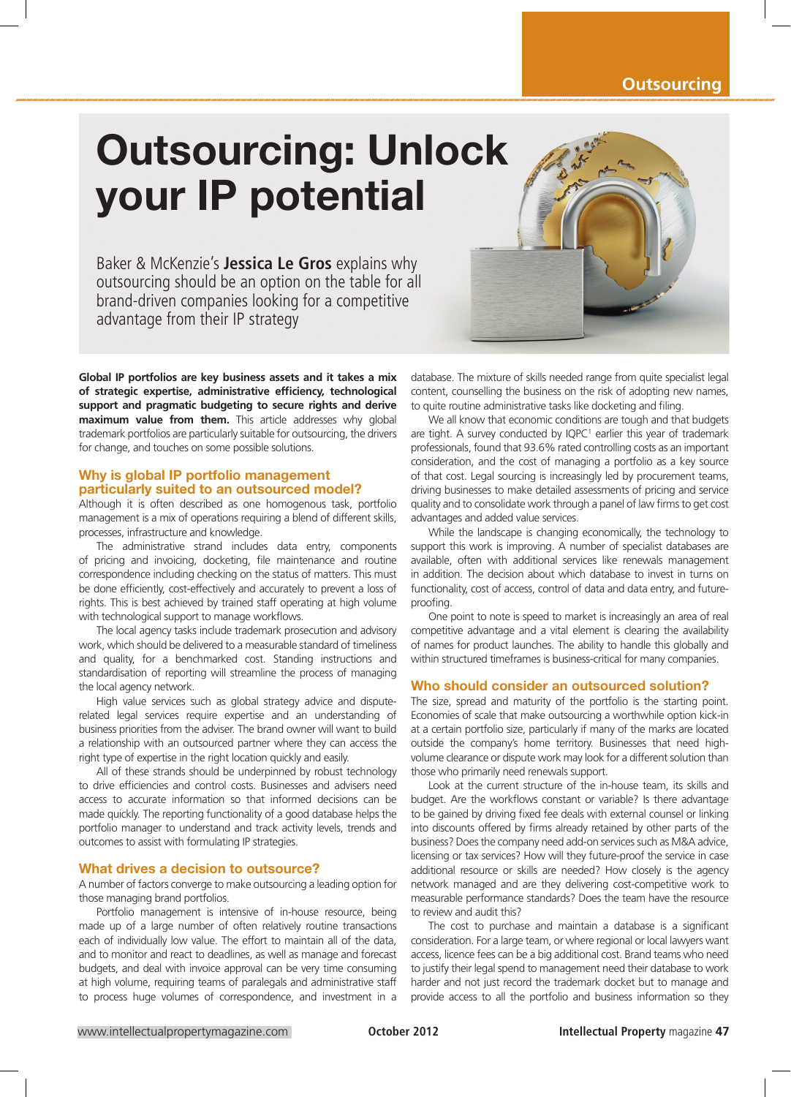## **Outsourcing**

# Outsourcing: Unlock your IP potential

Baker & McKenzie's **Jessica Le Gros** explains why outsourcing should be an option on the table for all brand-driven companies looking for a competitive advantage from their IP strategy

**Global IP portfolios are key business assets and it takes a mix of strategic expertise, administrative efficiency, technological support and pragmatic budgeting to secure rights and derive maximum value from them.** This article addresses why global trademark portfolios are particularly suitable for outsourcing, the drivers for change, and touches on some possible solutions.

## Why is global IP portfolio management particularly suited to an outsourced model?

Although it is often described as one homogenous task, portfolio management is a mix of operations requiring a blend of different skills, processes, infrastructure and knowledge.

The administrative strand includes data entry, components of pricing and invoicing, docketing, file maintenance and routine correspondence including checking on the status of matters. This must be done efficiently, cost-effectively and accurately to prevent a loss of rights. This is best achieved by trained staff operating at high volume with technological support to manage workflows.

The local agency tasks include trademark prosecution and advisory work, which should be delivered to a measurable standard of timeliness and quality, for a benchmarked cost. Standing instructions and standardisation of reporting will streamline the process of managing the local agency network.

High value services such as global strategy advice and disputerelated legal services require expertise and an understanding of business priorities from the adviser. The brand owner will want to build a relationship with an outsourced partner where they can access the right type of expertise in the right location quickly and easily.

All of these strands should be underpinned by robust technology to drive efficiencies and control costs. Businesses and advisers need access to accurate information so that informed decisions can be made quickly. The reporting functionality of a good database helps the portfolio manager to understand and track activity levels, trends and outcomes to assist with formulating IP strategies.

#### What drives a decision to outsource?

A number of factors converge to make outsourcing a leading option for those managing brand portfolios.

Portfolio management is intensive of in-house resource, being made up of a large number of often relatively routine transactions each of individually low value. The effort to maintain all of the data, and to monitor and react to deadlines, as well as manage and forecast budgets, and deal with invoice approval can be very time consuming at high volume, requiring teams of paralegals and administrative staff to process huge volumes of correspondence, and investment in a

database. The mixture of skills needed range from quite specialist legal content, counselling the business on the risk of adopting new names, to quite routine administrative tasks like docketing and filing.

We all know that economic conditions are tough and that budgets are tight. A survey conducted by  $IQPC<sup>1</sup>$  earlier this year of trademark professionals, found that 93.6% rated controlling costs as an important consideration, and the cost of managing a portfolio as a key source of that cost. Legal sourcing is increasingly led by procurement teams, driving businesses to make detailed assessments of pricing and service quality and to consolidate work through a panel of law firms to get cost advantages and added value services.

While the landscape is changing economically, the technology to support this work is improving. A number of specialist databases are available, often with additional services like renewals management in addition. The decision about which database to invest in turns on functionality, cost of access, control of data and data entry, and futureproofing.

One point to note is speed to market is increasingly an area of real competitive advantage and a vital element is clearing the availability of names for product launches. The ability to handle this globally and within structured timeframes is business-critical for many companies.

### Who should consider an outsourced solution?

The size, spread and maturity of the portfolio is the starting point. Economies of scale that make outsourcing a worthwhile option kick-in at a certain portfolio size, particularly if many of the marks are located outside the company's home territory. Businesses that need highvolume clearance or dispute work may look for a different solution than those who primarily need renewals support.

Look at the current structure of the in-house team, its skills and budget. Are the workflows constant or variable? Is there advantage to be gained by driving fixed fee deals with external counsel or linking into discounts offered by firms already retained by other parts of the business? Does the company need add-on services such as M&A advice, licensing or tax services? How will they future-proof the service in case additional resource or skills are needed? How closely is the agency network managed and are they delivering cost-competitive work to measurable performance standards? Does the team have the resource to review and audit this?

The cost to purchase and maintain a database is a significant consideration. For a large team, or where regional or local lawyers want access, licence fees can be a big additional cost. Brand teams who need to justify their legal spend to management need their database to work harder and not just record the trademark docket but to manage and provide access to all the portfolio and business information so they